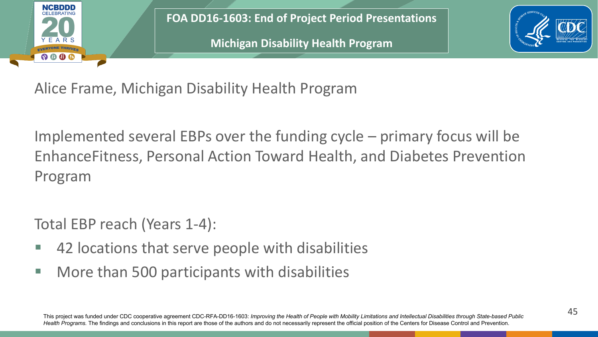

**FOA DD16-1603: End of Project Period Presentations**

**Michigan Disability Health Program**



Alice Frame, Michigan Disability Health Program

Implemented several EBPs over the funding cycle – primary focus will be EnhanceFitness, Personal Action Toward Health, and Diabetes Prevention Program

Total EBP reach (Years 1-4):

- **42 locations that serve people with disabilities**
- **More than 500 participants with disabilities**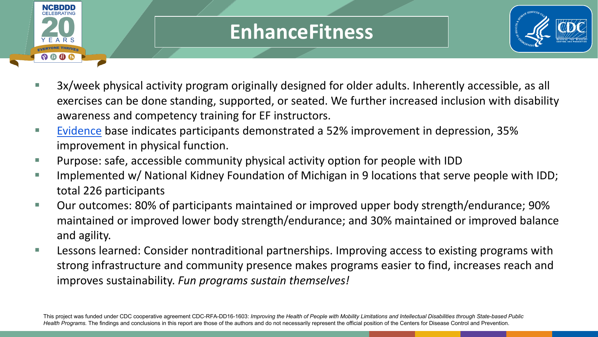

## **EnhanceFitness**



- 3x/week physical activity program originally designed for older adults. Inherently accessible, as all exercises can be done standing, supported, or seated. We further increased inclusion with disability awareness and competency training for EF instructors.
- [Evidence](https://www.ncbi.nlm.nih.gov/pmc/articles/PMC4410340/) base indicates participants demonstrated a 52% improvement in depression, 35% improvement in physical function.
- Purpose: safe, accessible community physical activity option for people with IDD
- Implemented w/ National Kidney Foundation of Michigan in 9 locations that serve people with IDD; total 226 participants
- Our outcomes: 80% of participants maintained or improved upper body strength/endurance; 90% maintained or improved lower body strength/endurance; and 30% maintained or improved balance and agility.
- **Lessons learned: Consider nontraditional partnerships. Improving access to existing programs with** strong infrastructure and community presence makes programs easier to find, increases reach and improves sustainability. *Fun programs sustain themselves!*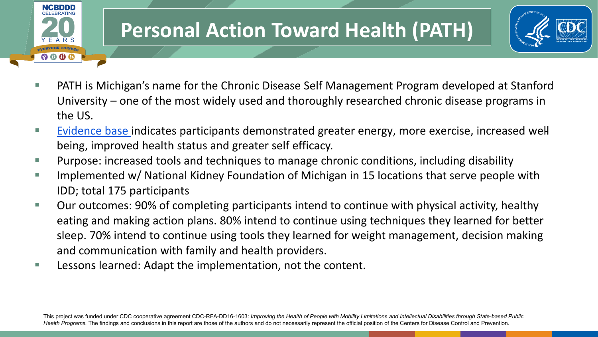

## **Personal Action Toward Health (PATH)**



- PATH is Michigan's name for the Chronic Disease Self Management Program developed at Stanford University – one of the most widely used and thoroughly researched chronic disease programs in the US.
- [Evidence base i](https://www.selfmanagementresource.com/docs/pdfs/Review_Findings_CDSMP_Outcomes1_8_08.pdf)ndicates participants demonstrated greater energy, more exercise, increased wellbeing, improved health status and greater self efficacy.
- Purpose: increased tools and techniques to manage chronic conditions, including disability
- Implemented w/ National Kidney Foundation of Michigan in 15 locations that serve people with IDD; total 175 participants
- Our outcomes: 90% of completing participants intend to continue with physical activity, healthy eating and making action plans. 80% intend to continue using techniques they learned for better sleep. 70% intend to continue using tools they learned for weight management, decision making and communication with family and health providers.
- Lessons learned: Adapt the implementation, not the content.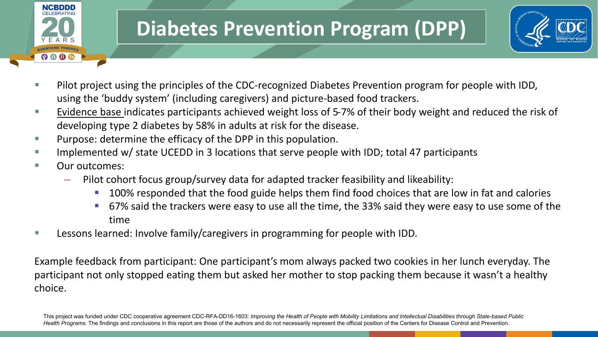

## **Diabetes Prevention Program (DPP)**



- **Pilot project using the principles of the CDC-recognized Diabetes Prevention program for people with IDD,** using the 'buddy system' (including caregivers) and picture-based food trackers.
- [Evidence base i](https://www.cdc.gov/diabetes/prevention/research-behind-ndpp.htm)ndicates participants achieved weight loss of 5-7% of their body weight and reduced the risk of developing type 2 diabetes by 58% in adults at risk for the disease.
- $\blacksquare$  Purpose: determine the efficacy of the DPP in this population.
- Implemented w/ state UCEDD in 3 locations that serve people with IDD; total 47 participants
- Our outcomes:
	- Pilot cohort focus group/survey data for adapted tracker feasibility and likeability:
		- 100% responded that the food guide helps them find food choices that are low in fat and calories
		- 67% said the trackers were easy to use all the time, the 33% said they were easy to use some of the time
- **Lessons learned: Involve family/caregivers in programming for people with IDD.**

Example feedback from participant: One participant's mom always packed two cookies in her lunch everyday. The participant not only stopped eating them but asked her mother to stop packing them because it wasn't a healthy choice.